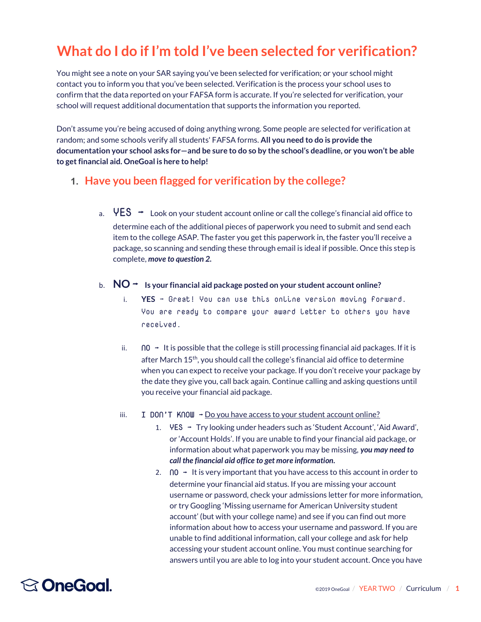## What do I do if I'm told I've been selected for verification?

You might see a note on your SAR saying you've been selected for verification; or your school might contact you to inform you that you've been selected. Verification is the process your school uses to confirm that the data reported on your FAFSA form is accurate. If you're selected for verification, your school will request additional documentation that supports the information you reported.

Don't assume you're being accused of doing anything wrong. Some people are selected for verification at random; and some schools verify all students' FAFSA forms. All you need to do is provide the documentation your school asks for—and be sure to do so by the school's deadline, or you won't be able to get financial aid. OneGoal is here to help!

#### 1. Have you been flagged for verification by the college?

- a.  $\text{YES} \rightarrow \text{Look on your student account online or call the college's financial aid office to}$ determine each of the additional pieces of paperwork you need to submit and send each item to the college ASAP. The faster you get this paperwork in, the faster you'll receive a package, so scanning and sending these through email is ideal if possible. Once this step is complete, move to question 2.
- b.  $\overline{NO}$   $\rightarrow$  Is your financial aid package posted on your student account online?
	- $i.$  YES  $\rightarrow$  Great! You can use this online version moving forward. You are ready to compare your award letter to others you have received.
	- ii.  $\bigcap$   $\bigcap$  → It is possible that the college is still processing financial aid packages. If it is after March 15<sup>th</sup>, you should call the college's financial aid office to determine when you can expect to receive your package. If you don't receive your package by the date they give you, call back again. Continue calling and asking questions until you receive your financial aid package.
	- iii. I DON'T KNOW  $\rightarrow$  Do you have access to your student account online?
		- 1.  $YES → Try$  looking under headers such as 'Student Account', 'Aid Award', or 'Account Holds'. If you are unable to find your financial aid package, or information about what paperwork you may be missing, you may need to call the financial aid office to get more information.
		- 2.  $\bigcap$  → It is very important that you have access to this account in order to determine your financial aid status. If you are missing your account username or password, check your admissions letter for more information, or try Googling 'Missing username for American University student account' (but with your college name) and see if you can find out more information about how to access your username and password. If you are unable to find additional information, call your college and ask for help accessing your student account online. You must continue searching for answers until you are able to log into your student account. Once you have

# **<sup><b>⊙ OneGoal**</sup>